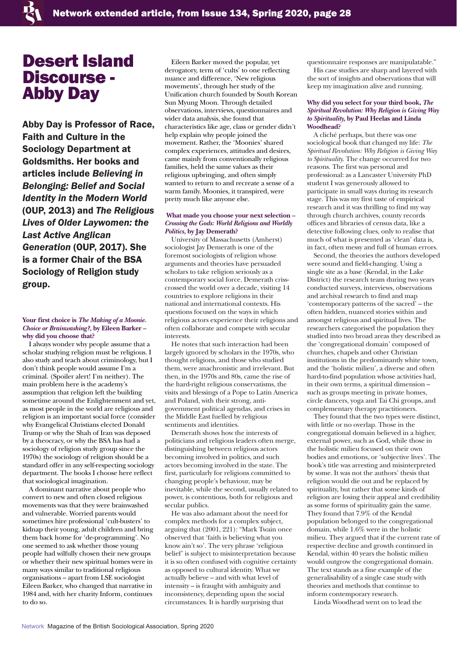# Desert Island Discourse - Abby Day

Abby Day is Professor of Race, Faith and Culture in the Sociology Department at Goldsmiths. Her books and articles include *Believing in Belonging: Belief and Social Identity in the Modern World* (OUP, 2013) and *The Religious Lives of Older Laywomen: the Last Active Anglican Generation* (OUP, 2017). She is a former Chair of the BSA Sociology of Religion study group.

### **Your first choice is** *The Making of a Moonie. Choice or Brainwashing?,* **by Eileen Barker – why did you choose that?**

I always wonder why people assume that a scholar studying religion must be religious. I also study and teach about criminology, but I don't think people would assume I'm a criminal. (Spoiler alert! I'm neither). The main problem here is the academy's assumption that religion left the building sometime around the Enlightenment and yet, as most people in the world are religious and religion is an important social force (consider why Evangelical Christians elected Donald Trump or why the Shah of Iran was deposed by a theocracy, or why the BSA has had a sociology of religion study group since the 1970s) the sociology of religion should be a standard offer in any self-respecting sociology department. The books I choose here reflect that sociological imagination.

A dominant narrative about people who convert to new and often closed religious movements was that they were brainwashed and vulnerable. Worried parents would sometimes hire professional 'cult-busters' to kidnap their young, adult children and bring them back home for 'de-programming'. No one seemed to ask whether those young people had wilfully chosen their new groups or whether their new spiritual homes were in many ways similar to traditional religious organisations – apart from LSE sociologist Eileen Barker, who changed that narrative in 1984 and, with her charity Inform, continues to do so.

Eileen Barker moved the popular, yet derogatory, term of 'cults' to one reflecting nuance and difference, 'New religious movements', through her study of the Unification church founded by South Korean Sun Myung Moon. Through detailed observations, interviews, questionnaires and wider data analysis, she found that characteristics like age, class or gender didn't help explain why people joined the movement. Rather, the 'Moonies' shared complex experiences, attitudes and desires, came mainly from conventionally religious families, held the same values as their religious upbringing, and often simply wanted to return to and recreate a sense of a warm family. Moonies, it transpired, were pretty much like anyone else.

# **What made you choose your next selection –** *Crossing the Gods: World Religions and Worldly Politics,* **by Jay Demerath?**

University of Massachusetts (Amherst) sociologist Jay Demerath is one of the foremost sociologists of religion whose arguments and theories have persuaded scholars to take religion seriously as a contemporary social force. Demerath crisscrossed the world over a decade, visiting 14 countries to explore religions in their national and international contexts. His questions focused on the ways in which religious actors experience their religions and often collaborate and compete with secular interests.

He notes that such interaction had been largely ignored by scholars in the 1970s, who thought religions, and those who studied them, were anachronistic and irrelevant. But then, in the 1970s and 80s, came the rise of the hard-right religious conservatisms, the visits and blessings of a Pope to Latin America and Poland, with their strong, antigovernment political agendas, and crises in the Middle East fuelled by religious sentiments and identities.

Demerath shows how the interests of politicians and religious leaders often merge, distinguishing between religious actors becoming involved in politics, and such actors becoming involved in the state. The first, particularly for religions committed to changing people's behaviour, may be inevitable, while the second, usually related to power, is contentious, both for religious and secular publics.

He was also adamant about the need for complex methods for a complex subject, arguing that (2001, 221): "Mark Twain once observed that 'faith is believing what you know ain't so'. The very phrase 'religious belief' is subject to misinterpretation because it is so often confused with cognitive certainty as opposed to cultural identity. What we actually believe – and with what level of intensity – is fraught with ambiguity and inconsistency, depending upon the social circumstances. It is hardly surprising that

questionnaire responses are manipulatable."

His case studies are sharp and layered with the sort of insights and observations that will keep my imagination alive and running.

# **Why did you select for your third book,** *The Spiritual Revolution: Why Religion is Giving Way to Spirituality,* **by Paul Heelas and Linda Woodhead?**

A cliché perhaps, but there was one sociological book that changed my life: *The Spiritual Revolution: Why Religion is Giving Way to Spirituality*. The change occurred for two reasons. The first was personal and professional: as a Lancaster University PhD student I was generously allowed to participate in small ways during its research stage. This was my first taste of empirical research and it was thrilling to find my way through church archives, county records offices and libraries of census data, like a detective following clues, only to realise that much of what is presented as 'clean' data is, in fact, often messy and full of human errors.

Second, the theories the authors developed were sound and field-changing. Using a single site as a base (Kendal, in the Lake District) the research team during two years conducted surveys, interviews, observations and archival research to find and map 'contemporary patterns of the sacred' – the often hidden, nuanced stories within and amongst religious and spiritual lives. The researchers categorised the population they studied into two broad areas they described as the 'congregational domain' composed of churches, chapels and other Christian institutions in the predominantly white town, and the 'holistic milieu', a diverse and often hard-to-find population whose activities had, in their own terms, a spiritual dimension – such as groups meeting in private homes, circle dancers, yoga and Tai Chi groups, and complementary therapy practitioners.

They found that the two types were distinct, with little or no overlap. Those in the congregational domain believed in a higher, external power, such as God, while those in the holistic milieu focused on their own bodies and emotions, or 'subjective lives'. The book's title was arresting and misinterpreted by some. It was not the authors' thesis that religion would die out and be replaced by spirituality, but rather that some kinds of religion are losing their appeal and credibility as some forms of spirituality gain the same. They found that 7.9% of the Kendal population belonged to the congregational domain, while 1.6% were in the holistic milieu. They argued that if the current rate of respective decline and growth continued in Kendal, within 40 years the holistic milieu would outgrow the congregational domain. The text stands as a fine example of the generalisability of a single case study with theories and methods that continue to inform contemporary research.

Linda Woodhead went on to lead the